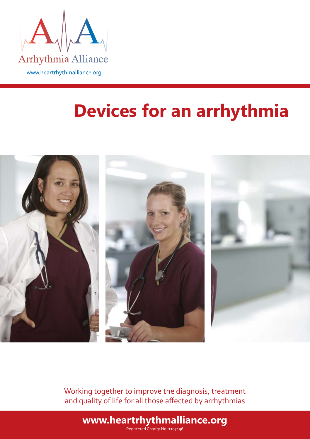

# **Devices for an arrhythmia**



Working together to improve the diagnosis, treatment and quality of life for all those affected by arrhythmias

**www.heartrhythmalliance.org**

Registered Charity No. 1107496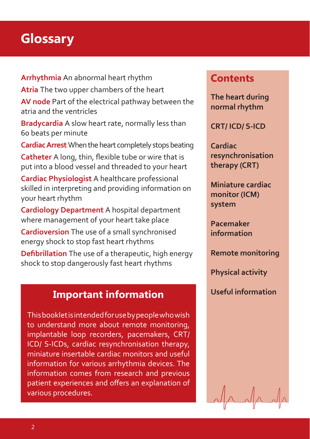# **Glossary**

**Arrhythmia** An abnormal heart rhythm

**Atria** The two upper chambers of the heart

**AV node** Part of the electrical pathway between the atria and the ventricles

**Bradycardia** A slow heart rate, normally less than 60 beats per minute

**Cardiac Arrest** When the heart completely stops beating

**Catheter** A long, thin, flexible tube or wire that is put into a blood vessel and threaded to your heart

**Cardiac Physiologist** A healthcare professional skilled in interpreting and providing information on your heart rhythm

**Cardiology Department** A hospital department where management of your heart take place

**Cardioversion** The use of a small synchronised energy shock to stop fast heart rhythms

**Defibrillation** The use of a therapeutic, high energy shock to stop dangerously fast heart rhythms

# **Useful information Important information**

This booklet is intended for use by people who wish to understand more about remote monitoring, implantable loop recorders, pacemakers, CRT/ ICD/ S-ICDs, cardiac resynchronisation therapy, miniature insertable cardiac monitors and useful information for various arrhythmia devices. The information comes from research and previous patient experiences and offers an explanation of various procedures.

## **Contents**

**The heart during normal rhythm**

**CRT/ ICD/ S-ICD**

**Cardiac resynchronisation therapy (CRT)**

**Miniature cardiac monitor (ICM) system** 

**Pacemaker information**

**Remote monitoring**

**Physical activity**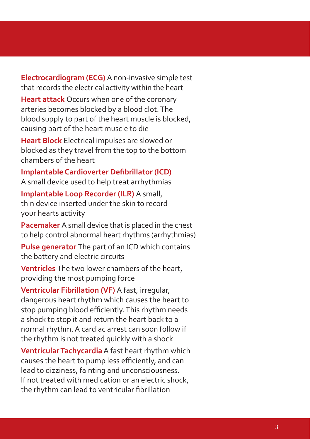**Electrocardiogram (ECG)** A non-invasive simple test that records the electrical activity within the heart

**Heart attack** Occurs when one of the coronary arteries becomes blocked by a blood clot. The blood supply to part of the heart muscle is blocked, causing part of the heart muscle to die

**Heart Block** Electrical impulses are slowed or blocked as they travel from the top to the bottom chambers of the heart

**Implantable Cardioverter Defibrillator (ICD)** A small device used to help treat arrhythmias

**Implantable Loop Recorder (ILR)** A small, thin device inserted under the skin to record your hearts activity

**Pacemaker** A small device that is placed in the chest to help control abnormal heart rhythms (arrhythmias)

**Pulse generator** The part of an ICD which contains the battery and electric circuits

**Ventricles** The two lower chambers of the heart, providing the most pumping force

**Ventricular Fibrillation (VF)** A fast, irregular, dangerous heart rhythm which causes the heart to stop pumping blood efficiently. This rhythm needs a shock to stop it and return the heart back to a normal rhythm. A cardiac arrest can soon follow if the rhythm is not treated quickly with a shock

**Ventricular Tachycardia** A fast heart rhythm which causes the heart to pump less efficiently, and can lead to dizziness, fainting and unconsciousness. If not treated with medication or an electric shock, the rhythm can lead to ventricular fibrillation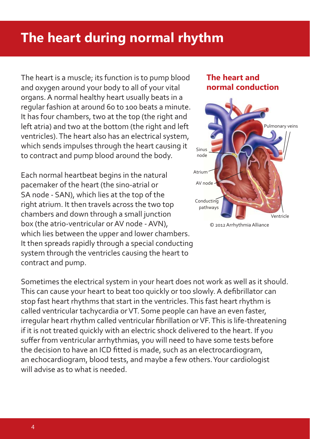# **The heart during normal rhythm**

The heart is a muscle; its function is to pump blood and oxygen around your body to all of your vital organs. A normal healthy heart usually beats in a regular fashion at around 60 to 100 beats a minute. It has four chambers, two at the top (the right and left atria) and two at the bottom (the right and left ventricles). The heart also has an electrical system, which sends impulses through the heart causing it to contract and pump blood around the body.

Each normal heartbeat begins in the natural pacemaker of the heart (the sino-atrial or SA node - SAN), which lies at the top of the right atrium. It then travels across the two top chambers and down through a small junction box (the atrio-ventricular or AV node - AVN), which lies between the upper and lower chambers. It then spreads rapidly through a special conducting system through the ventricles causing the heart to contract and pump.

Sometimes the electrical system in your heart does not work as well as it should. This can cause your heart to beat too quickly or too slowly. A defibrillator can stop fast heart rhythms that start in the ventricles. This fast heart rhythm is called ventricular tachycardia or VT. Some people can have an even faster, irregular heart rhythm called ventricular fibrillation or VF. This is life-threatening if it is not treated quickly with an electric shock delivered to the heart. If you suffer from ventricular arrhythmias, you will need to have some tests before the decision to have an ICD fitted is made, such as an electrocardiogram, an echocardiogram, blood tests, and maybe a few others. Your cardiologist will advise as to what is needed.

#### **The heart and normal conduction**



© 2012 Arrhythmia Alliance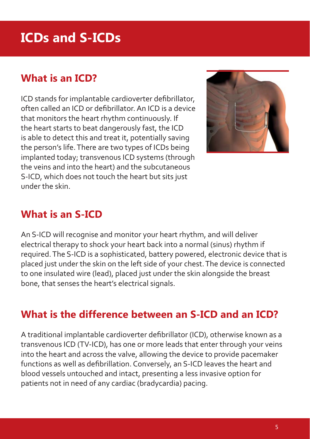# **ICDs and S-ICDs**

## **What is an ICD?**

ICD stands for implantable cardioverter defibrillator, often called an  $ICD$  or defibrillator. An  $ICD$  is a device that monitors the heart rhythm continuously. If the heart starts to beat dangerously fast, the ICD is able to detect this and treat it, potentially saving the person's life. There are two types of ICDs being implanted today; transvenous ICD systems (through the veins and into the heart) and the subcutaneous S-ICD, which does not touch the heart but sits just under the skin.



## **What is an S-ICD**

An S-ICD will recognise and monitor your heart rhythm, and will deliver electrical therapy to shock your heart back into a normal (sinus) rhythm if required. The S-ICD is a sophisticated, battery powered, electronic device that is placed just under the skin on the left side of your chest. The device is connected to one insulated wire (lead), placed just under the skin alongside the breast bone, that senses the heart's electrical signals.

## **What is the difference between an S-ICD and an ICD?**

A traditional implantable cardioverter defibrillator (ICD), otherwise known as a transvenous ICD (TV-ICD), has one or more leads that enter through your veins into the heart and across the valve, allowing the device to provide pacemaker functions as well as defibrillation. Conversely, an S-ICD leaves the heart and blood vessels untouched and intact, presenting a less invasive option for patients not in need of any cardiac (bradycardia) pacing.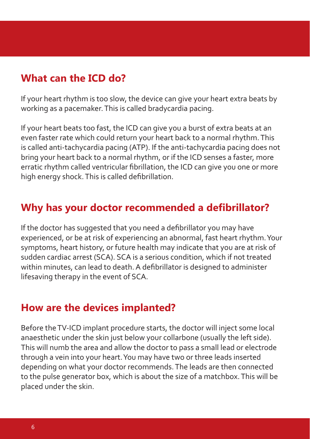### **What can the ICD do?**

If your heart rhythm is too slow, the device can give your heart extra beats by working as a pacemaker. This is called bradycardia pacing.

If your heart beats too fast, the ICD can give you a burst of extra beats at an even faster rate which could return your heart back to a normal rhythm. This is called anti-tachycardia pacing (ATP). If the anti-tachycardia pacing does not bring your heart back to a normal rhythm, or if the ICD senses a faster, more erratic rhythm called ventricular fibrillation, the ICD can give you one or more high energy shock. This is called defibrillation.

### **Why has your doctor recommended a defibrillator?**

If the doctor has suggested that you need a defibrillator you may have experienced, or be at risk of experiencing an abnormal, fast heart rhythm. Your symptoms, heart history, or future health may indicate that you are at risk of sudden cardiac arrest (SCA). SCA is a serious condition, which if not treated within minutes, can lead to death. A defibrillator is designed to administer lifesaving therapy in the event of SCA.

#### **How are the devices implanted?**

Before the TV-ICD implant procedure starts, the doctor will inject some local anaesthetic under the skin just below your collarbone (usually the left side). This will numb the area and allow the doctor to pass a small lead or electrode through a vein into your heart. You may have two or three leads inserted depending on what your doctor recommends. The leads are then connected to the pulse generator box, which is about the size of a matchbox. This will be placed under the skin.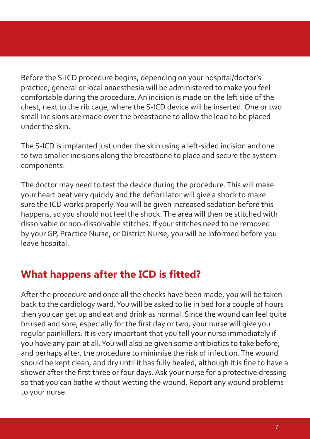Before the S-ICD procedure begins, depending on your hospital/doctor's practice, general or local anaesthesia will be administered to make you feel comfortable during the procedure. An incision is made on the left side of the chest, next to the rib cage, where the S-ICD device will be inserted. One or two small incisions are made over the breastbone to allow the lead to be placed under the skin.

The S-ICD is implanted just under the skin using a left-sided incision and one to two smaller incisions along the breastbone to place and secure the system components.

The doctor may need to test the device during the procedure. This will make your heart beat very quickly and the defibrillator will give a shock to make sure the ICD works properly. You will be given increased sedation before this happens, so you should not feel the shock. The area will then be stitched with dissolvable or non-dissolvable stitches. If your stitches need to be removed by your GP, Practice Nurse, or District Nurse, you will be informed before you leave hospital.

# **What happens after the ICD is fitted?**

After the procedure and once all the checks have been made, you will be taken back to the cardiology ward. You will be asked to lie in bed for a couple of hours then you can get up and eat and drink as normal. Since the wound can feel quite bruised and sore, especially for the first day or two, your nurse will give you regular painkillers. It is very important that you tell your nurse immediately if you have any pain at all. You will also be given some antibiotics to take before, and perhaps after, the procedure to minimise the risk of infection. The wound should be kept clean, and dry until it has fully healed, although it is fine to have a shower after the first three or four days. Ask your nurse for a protective dressing so that you can bathe without wetting the wound. Report any wound problems to your nurse.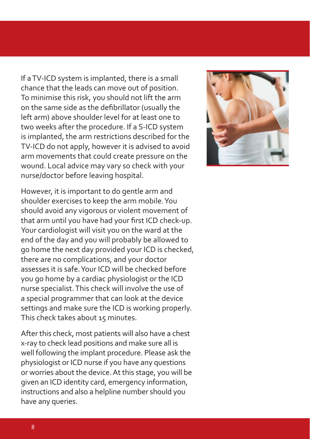If a TV-ICD system is implanted, there is a small chance that the leads can move out of position. To minimise this risk, you should not lift the arm on the same side as the defibrillator (usually the left arm) above shoulder level for at least one to two weeks after the procedure. If a S-ICD system is implanted, the arm restrictions described for the TV-ICD do not apply, however it is advised to avoid arm movements that could create pressure on the wound. Local advice may vary so check with your nurse/doctor before leaving hospital.

However, it is important to do gentle arm and shoulder exercises to keep the arm mobile. You should avoid any vigorous or violent movement of that arm until you have had your first ICD check-up. Your cardiologist will visit you on the ward at the end of the day and you will probably be allowed to go home the next day provided your ICD is checked, there are no complications, and your doctor assesses it is safe. Your ICD will be checked before you go home by a cardiac physiologist or the ICD nurse specialist. This check will involve the use of a special programmer that can look at the device settings and make sure the ICD is working properly. This check takes about 15 minutes.

After this check, most patients will also have a chest x-ray to check lead positions and make sure all is well following the implant procedure. Please ask the physiologist or ICD nurse if you have any questions or worries about the device. At this stage, you will be given an ICD identity card, emergency information, instructions and also a helpline number should you have any queries.

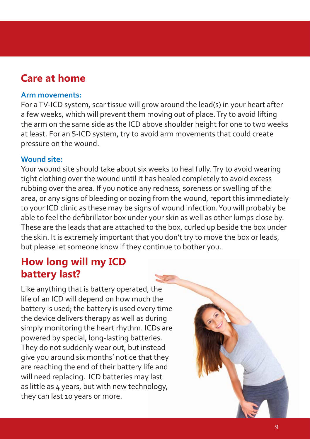## **Care at home**

#### **Arm movements:**

For a TV-ICD system, scar tissue will grow around the lead(s) in your heart after a few weeks, which will prevent them moving out of place. Try to avoid lifting the arm on the same side as the ICD above shoulder height for one to two weeks at least. For an S-ICD system, try to avoid arm movements that could create pressure on the wound.

#### **Wound site:**

Your wound site should take about six weeks to heal fully. Try to avoid wearing tight clothing over the wound until it has healed completely to avoid excess rubbing over the area. If you notice any redness, soreness or swelling of the area, or any signs of bleeding or oozing from the wound, report this immediately to your ICD clinic as these may be signs of wound infection. You will probably be able to feel the defibrillator box under your skin as well as other lumps close by. These are the leads that are attached to the box, curled up beside the box under the skin. It is extremely important that you don't try to move the box or leads, but please let someone know if they continue to bother you.

## **How long will my ICD battery last?**

Like anything that is battery operated, the life of an ICD will depend on how much the battery is used; the battery is used every time the device delivers therapy as well as during simply monitoring the heart rhythm. ICDs are powered by special, long-lasting batteries. They do not suddenly wear out, but instead give you around six months' notice that they are reaching the end of their battery life and will need replacing. ICD batteries may last as little as 4 years, but with new technology, they can last 10 years or more.

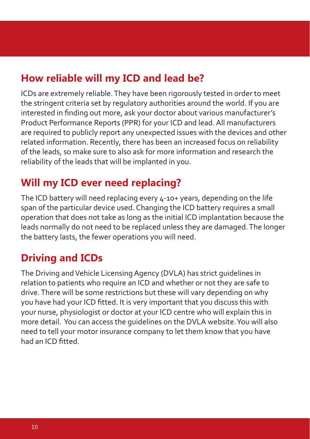## **How reliable will my ICD and lead be?**

ICDs are extremely reliable. They have been rigorously tested in order to meet the stringent criteria set by regulatory authorities around the world. If you are interested in finding out more, ask your doctor about various manufacturer's Product Performance Reports (PPR) for your ICD and lead. All manufacturers are required to publicly report any unexpected issues with the devices and other related information. Recently, there has been an increased focus on reliability of the leads, so make sure to also ask for more information and research the reliability of the leads that will be implanted in you.

# **Will my ICD ever need replacing?**

The ICD battery will need replacing every 4-10+ years, depending on the life span of the particular device used. Changing the ICD battery requires a small operation that does not take as long as the initial ICD implantation because the leads normally do not need to be replaced unless they are damaged. The longer the battery lasts, the fewer operations you will need.

# **Driving and ICDs**

The Driving and Vehicle Licensing Agency (DVLA) has strict guidelines in relation to patients who require an ICD and whether or not they are safe to drive. There will be some restrictions but these will vary depending on why you have had your ICD fitted. It is very important that you discuss this with your nurse, physiologist or doctor at your ICD centre who will explain this in more detail. You can access the guidelines on the DVLA website. You will also need to tell your motor insurance company to let them know that you have had an ICD fitted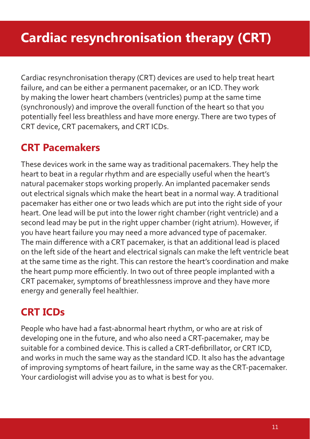Cardiac resynchronisation therapy (CRT) devices are used to help treat heart failure, and can be either a permanent pacemaker, or an ICD. They work by making the lower heart chambers (ventricles) pump at the same time (synchronously) and improve the overall function of the heart so that you potentially feel less breathless and have more energy. There are two types of CRT device, CRT pacemakers, and CRT ICDs.

# **CRT Pacemakers**

These devices work in the same way as traditional pacemakers. They help the heart to beat in a regular rhythm and are especially useful when the heart's natural pacemaker stops working properly. An implanted pacemaker sends out electrical signals which make the heart beat in a normal way. A traditional pacemaker has either one or two leads which are put into the right side of your heart. One lead will be put into the lower right chamber (right ventricle) and a second lead may be put in the right upper chamber (right atrium). However, if you have heart failure you may need a more advanced type of pacemaker. The main difference with a CRT pacemaker, is that an additional lead is placed on the left side of the heart and electrical signals can make the left ventricle beat at the same time as the right. This can restore the heart's coordination and make the heart pump more efficiently. In two out of three people implanted with a CRT pacemaker, symptoms of breathlessness improve and they have more energy and generally feel healthier.

# **CRT ICDs**

People who have had a fast-abnormal heart rhythm, or who are at risk of developing one in the future, and who also need a CRT-pacemaker, may be suitable for a combined device. This is called a CRT-defibrillator, or CRT ICD, and works in much the same way as the standard ICD. It also has the advantage of improving symptoms of heart failure, in the same way as the CRT-pacemaker. Your cardiologist will advise you as to what is best for you.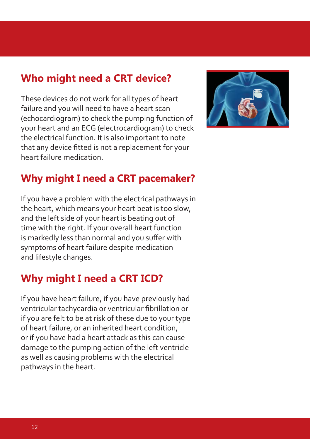## **Who might need a CRT device?**

These devices do not work for all types of heart failure and you will need to have a heart scan (echocardiogram) to check the pumping function of your heart and an ECG (electrocardiogram) to check the electrical function. It is also important to note that any device fitted is not a replacement for your heart failure medication.



# **Why might I need a CRT pacemaker?**

If you have a problem with the electrical pathways in the heart, which means your heart beat is too slow, and the left side of your heart is beating out of time with the right. If your overall heart function is markedly less than normal and you suffer with symptoms of heart failure despite medication and lifestyle changes.

# **Why might I need a CRT ICD?**

If you have heart failure, if you have previously had ventricular tachycardia or ventricular fibrillation or if you are felt to be at risk of these due to your type of heart failure, or an inherited heart condition, or if you have had a heart attack as this can cause damage to the pumping action of the left ventricle as well as causing problems with the electrical pathways in the heart.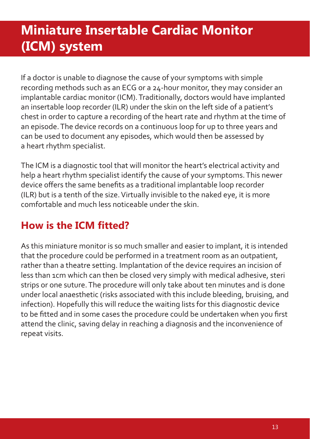# **Miniature Insertable Cardiac Monitor (ICM) system**

If a doctor is unable to diagnose the cause of your symptoms with simple recording methods such as an ECG or a 24-hour monitor, they may consider an implantable cardiac monitor (ICM). Traditionally, doctors would have implanted an insertable loop recorder (ILR) under the skin on the left side of a patient's chest in order to capture a recording of the heart rate and rhythm at the time of an episode. The device records on a continuous loop for up to three years and can be used to document any episodes, which would then be assessed by a heart rhythm specialist.

The ICM is a diagnostic tool that will monitor the heart's electrical activity and help a heart rhythm specialist identify the cause of your symptoms. This newer device offers the same benefits as a traditional implantable loop recorder (ILR) but is a tenth of the size. Virtually invisible to the naked eye, it is more comfortable and much less noticeable under the skin.

# How is the **ICM** fitted?

As this miniature monitor is so much smaller and easier to implant, it is intended that the procedure could be performed in a treatment room as an outpatient, rather than a theatre setting. Implantation of the device requires an incision of less than 1cm which can then be closed very simply with medical adhesive, steri strips or one suture. The procedure will only take about ten minutes and is done under local anaesthetic (risks associated with this include bleeding, bruising, and infection). Hopefully this will reduce the waiting lists for this diagnostic device to be fitted and in some cases the procedure could be undertaken when you first attend the clinic, saving delay in reaching a diagnosis and the inconvenience of repeat visits.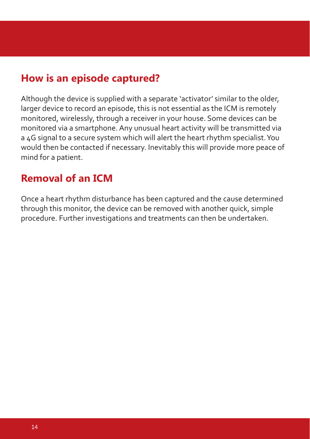## **How is an episode captured?**

Although the device is supplied with a separate 'activator' similar to the older, larger device to record an episode, this is not essential as the ICM is remotely monitored, wirelessly, through a receiver in your house. Some devices can be monitored via a smartphone. Any unusual heart activity will be transmitted via a 4G signal to a secure system which will alert the heart rhythm specialist. You would then be contacted if necessary. Inevitably this will provide more peace of mind for a patient.

### **Removal of an ICM**

Once a heart rhythm disturbance has been captured and the cause determined through this monitor, the device can be removed with another quick, simple procedure. Further investigations and treatments can then be undertaken.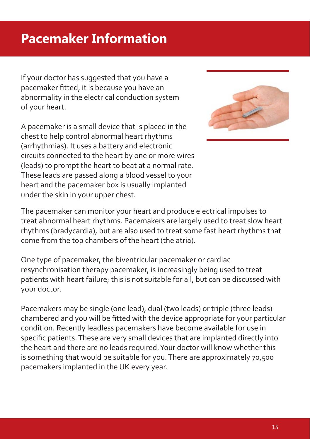# **Pacemaker Information**

If your doctor has suggested that you have a pacemaker fitted, it is because you have an abnormality in the electrical conduction system of your heart.

A pacemaker is a small device that is placed in the chest to help control abnormal heart rhythms (arrhythmias). It uses a battery and electronic circuits connected to the heart by one or more wires (leads) to prompt the heart to beat at a normal rate. These leads are passed along a blood vessel to your heart and the pacemaker box is usually implanted under the skin in your upper chest.



The pacemaker can monitor your heart and produce electrical impulses to treat abnormal heart rhythms. Pacemakers are largely used to treat slow heart rhythms (bradycardia), but are also used to treat some fast heart rhythms that come from the top chambers of the heart (the atria).

One type of pacemaker, the biventricular pacemaker or cardiac resynchronisation therapy pacemaker, is increasingly being used to treat patients with heart failure; this is not suitable for all, but can be discussed with your doctor.

Pacemakers may be single (one lead), dual (two leads) or triple (three leads) chambered and you will be fitted with the device appropriate for your particular condition. Recently leadless pacemakers have become available for use in specific patients. These are very small devices that are implanted directly into the heart and there are no leads required. Your doctor will know whether this is something that would be suitable for you. There are approximately 70,500 pacemakers implanted in the UK every year.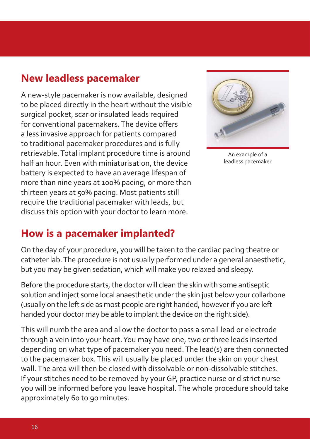## **New leadless pacemaker**

A new-style pacemaker is now available, designed to be placed directly in the heart without the visible surgical pocket, scar or insulated leads required for conventional pacemakers. The device offers a less invasive approach for patients compared to traditional pacemaker procedures and is fully retrievable. Total implant procedure time is around half an hour. Even with miniaturisation, the device battery is expected to have an average lifespan of more than nine years at 100% pacing, or more than thirteen years at 50% pacing. Most patients still require the traditional pacemaker with leads, but discuss this option with your doctor to learn more.



An example of a leadless pacemaker

### **How is a pacemaker implanted?**

On the day of your procedure, you will be taken to the cardiac pacing theatre or catheter lab. The procedure is not usually performed under a general anaesthetic, but you may be given sedation, which will make you relaxed and sleepy.

Before the procedure starts, the doctor will clean the skin with some antiseptic solution and inject some local anaesthetic under the skin just below your collarbone (usually on the left side as most people are right handed, however if you are left handed your doctor may be able to implant the device on the right side).

This will numb the area and allow the doctor to pass a small lead or electrode through a vein into your heart. You may have one, two or three leads inserted depending on what type of pacemaker you need. The lead(s) are then connected to the pacemaker box. This will usually be placed under the skin on your chest wall. The area will then be closed with dissolvable or non-dissolvable stitches. If your stitches need to be removed by your GP, practice nurse or district nurse you will be informed before you leave hospital. The whole procedure should take approximately 60 to 90 minutes.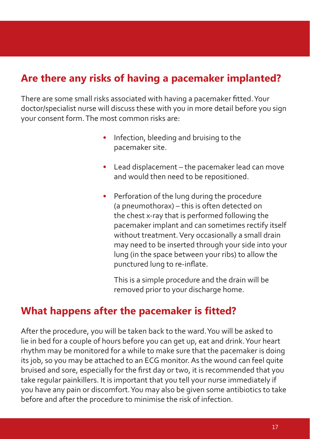# **Are there any risks of having a pacemaker implanted?**

There are some small risks associated with having a pacemaker fitted. Your doctor/specialist nurse will discuss these with you in more detail before you sign your consent form. The most common risks are:

- Infection, bleeding and bruising to the pacemaker site.
- Lead displacement the pacemaker lead can move and would then need to be repositioned.
- Perforation of the lung during the procedure (a pneumothorax) – this is often detected on the chest x-ray that is performed following the pacemaker implant and can sometimes rectify itself without treatment. Very occasionally a small drain may need to be inserted through your side into your lung (in the space between your ribs) to allow the punctured lung to re-inflate.

 This is a simple procedure and the drain will be removed prior to your discharge home.

### **What happens after the pacemaker is fitted?**

After the procedure, you will be taken back to the ward. You will be asked to lie in bed for a couple of hours before you can get up, eat and drink. Your heart rhythm may be monitored for a while to make sure that the pacemaker is doing its job, so you may be attached to an ECG monitor. As the wound can feel quite bruised and sore, especially for the first day or two, it is recommended that you take regular painkillers. It is important that you tell your nurse immediately if you have any pain or discomfort. You may also be given some antibiotics to take before and after the procedure to minimise the risk of infection.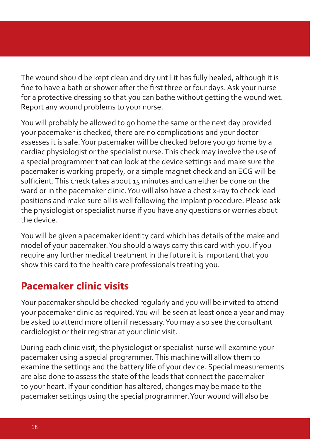The wound should be kept clean and dry until it has fully healed, although it is fine to have a bath or shower after the first three or four days. Ask your nurse for a protective dressing so that you can bathe without getting the wound wet. Report any wound problems to your nurse.

You will probably be allowed to go home the same or the next day provided your pacemaker is checked, there are no complications and your doctor assesses it is safe. Your pacemaker will be checked before you go home by a cardiac physiologist or the specialist nurse. This check may involve the use of a special programmer that can look at the device settings and make sure the pacemaker is working properly, or a simple magnet check and an ECG will be sufficient. This check takes about 15 minutes and can either be done on the ward or in the pacemaker clinic. You will also have a chest x-ray to check lead positions and make sure all is well following the implant procedure. Please ask the physiologist or specialist nurse if you have any questions or worries about the device.

You will be given a pacemaker identity card which has details of the make and model of your pacemaker. You should always carry this card with you. If you require any further medical treatment in the future it is important that you show this card to the health care professionals treating you.

# **Pacemaker clinic visits**

Your pacemaker should be checked regularly and you will be invited to attend your pacemaker clinic as required. You will be seen at least once a year and may be asked to attend more often if necessary. You may also see the consultant cardiologist or their registrar at your clinic visit.

During each clinic visit, the physiologist or specialist nurse will examine your pacemaker using a special programmer. This machine will allow them to examine the settings and the battery life of your device. Special measurements are also done to assess the state of the leads that connect the pacemaker to your heart. If your condition has altered, changes may be made to the pacemaker settings using the special programmer. Your wound will also be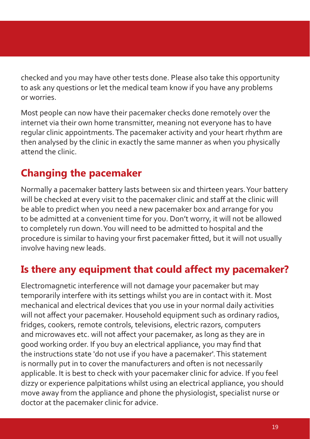checked and you may have other tests done. Please also take this opportunity to ask any questions or let the medical team know if you have any problems or worries.

Most people can now have their pacemaker checks done remotely over the internet via their own home transmitter, meaning not everyone has to have regular clinic appointments. The pacemaker activity and your heart rhythm are then analysed by the clinic in exactly the same manner as when you physically attend the clinic.

# **Changing the pacemaker**

Normally a pacemaker battery lasts between six and thirteen years. Your battery will be checked at every visit to the pacemaker clinic and staff at the clinic will be able to predict when you need a new pacemaker box and arrange for you to be admitted at a convenient time for you. Don't worry, it will not be allowed to completely run down. You will need to be admitted to hospital and the procedure is similar to having your first pacemaker fitted, but it will not usually involve having new leads.

## **Is there any equipment that could affect my pacemaker?**

Electromagnetic interference will not damage your pacemaker but may temporarily interfere with its settings whilst you are in contact with it. Most mechanical and electrical devices that you use in your normal daily activities will not affect your pacemaker. Household equipment such as ordinary radios, fridges, cookers, remote controls, televisions, electric razors, computers and microwaves etc. will not affect your pacemaker, as long as they are in good working order. If you buy an electrical appliance, you may find that the instructions state 'do not use if you have a pacemaker'. This statement is normally put in to cover the manufacturers and often is not necessarily applicable. It is best to check with your pacemaker clinic for advice. If you feel dizzy or experience palpitations whilst using an electrical appliance, you should move away from the appliance and phone the physiologist, specialist nurse or doctor at the pacemaker clinic for advice.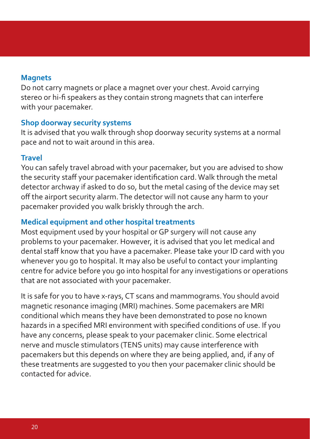#### **Magnets**

Do not carry magnets or place a magnet over your chest. Avoid carrying stereo or hi-fi speakers as they contain strong magnets that can interfere with your pacemaker.

#### **Shop doorway security systems**

It is advised that you walk through shop doorway security systems at a normal pace and not to wait around in this area.

#### **Travel**

You can safely travel abroad with your pacemaker, but you are advised to show the security staff your pacemaker identification card. Walk through the metal detector archway if asked to do so, but the metal casing of the device may set off the airport security alarm. The detector will not cause any harm to your pacemaker provided you walk briskly through the arch.

#### **Medical equipment and other hospital treatments**

Most equipment used by your hospital or GP surgery will not cause any problems to your pacemaker. However, it is advised that you let medical and dental staff know that you have a pacemaker. Please take your ID card with you whenever you go to hospital. It may also be useful to contact your implanting centre for advice before you go into hospital for any investigations or operations that are not associated with your pacemaker.

It is safe for you to have x-rays, CT scans and mammograms. You should avoid magnetic resonance imaging (MRI) machines. Some pacemakers are MRI conditional which means they have been demonstrated to pose no known hazards in a specified MRI environment with specified conditions of use. If you have any concerns, please speak to your pacemaker clinic. Some electrical nerve and muscle stimulators (TENS units) may cause interference with pacemakers but this depends on where they are being applied, and, if any of these treatments are suggested to you then your pacemaker clinic should be contacted for advice.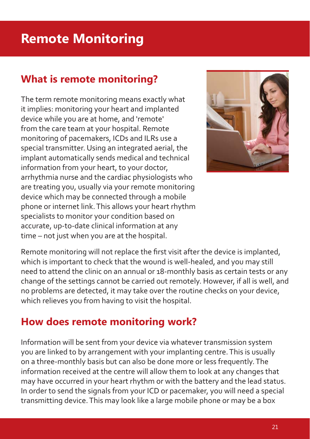# **Remote Monitoring**

## **What is remote monitoring?**

The term remote monitoring means exactly what it implies: monitoring your heart and implanted device while you are at home, and 'remote' from the care team at your hospital. Remote monitoring of pacemakers, ICDs and ILRs use a special transmitter. Using an integrated aerial, the implant automatically sends medical and technical information from your heart, to your doctor, arrhythmia nurse and the cardiac physiologists who are treating you, usually via your remote monitoring device which may be connected through a mobile phone or internet link. This allows your heart rhythm specialists to monitor your condition based on accurate, up-to-date clinical information at any time – not just when you are at the hospital.



Remote monitoring will not replace the first visit after the device is implanted, which is important to check that the wound is well-healed, and you may still need to attend the clinic on an annual or 18-monthly basis as certain tests or any change of the settings cannot be carried out remotely. However, if all is well, and no problems are detected, it may take over the routine checks on your device, which relieves you from having to visit the hospital.

## **How does remote monitoring work?**

Information will be sent from your device via whatever transmission system you are linked to by arrangement with your implanting centre. This is usually on a three-monthly basis but can also be done more or less frequently. The information received at the centre will allow them to look at any changes that may have occurred in your heart rhythm or with the battery and the lead status. In order to send the signals from your ICD or pacemaker, you will need a special transmitting device. This may look like a large mobile phone or may be a box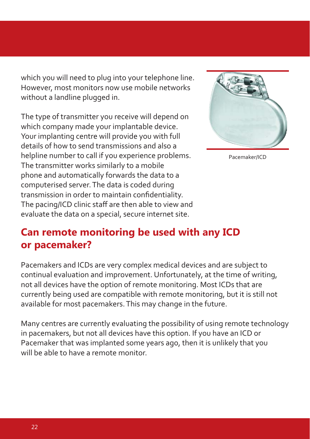which you will need to plug into your telephone line. However, most monitors now use mobile networks without a landline plugged in.

The type of transmitter you receive will depend on which company made your implantable device. Your implanting centre will provide you with full details of how to send transmissions and also a helpline number to call if you experience problems. The transmitter works similarly to a mobile phone and automatically forwards the data to a computerised server. The data is coded during transmission in order to maintain confidentiality. The pacing/ICD clinic staff are then able to view and evaluate the data on a special, secure internet site.



Pacemaker/ICD

## **Can remote monitoring be used with any ICD or pacemaker?**

Pacemakers and ICDs are very complex medical devices and are subject to continual evaluation and improvement. Unfortunately, at the time of writing, not all devices have the option of remote monitoring. Most ICDs that are currently being used are compatible with remote monitoring, but it is still not available for most pacemakers. This may change in the future.

Many centres are currently evaluating the possibility of using remote technology in pacemakers, but not all devices have this option. If you have an ICD or Pacemaker that was implanted some years ago, then it is unlikely that you will be able to have a remote monitor.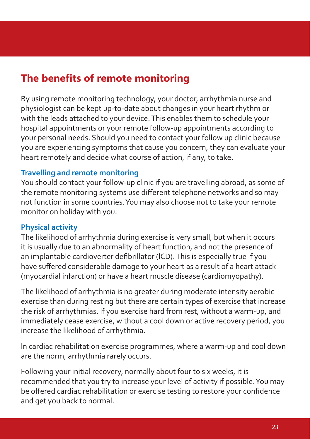# **The benefits of remote monitoring**

By using remote monitoring technology, your doctor, arrhythmia nurse and physiologist can be kept up-to-date about changes in your heart rhythm or with the leads attached to your device. This enables them to schedule your hospital appointments or your remote follow-up appointments according to your personal needs. Should you need to contact your follow up clinic because you are experiencing symptoms that cause you concern, they can evaluate your heart remotely and decide what course of action, if any, to take.

#### **Travelling and remote monitoring**

You should contact your follow-up clinic if you are travelling abroad, as some of the remote monitoring systems use different telephone networks and so may not function in some countries. You may also choose not to take your remote monitor on holiday with you.

#### **Physical activity**

The likelihood of arrhythmia during exercise is very small, but when it occurs it is usually due to an abnormality of heart function, and not the presence of an implantable cardioverter defibrillator (ICD). This is especially true if you have suffered considerable damage to your heart as a result of a heart attack (myocardial infarction) or have a heart muscle disease (cardiomyopathy).

The likelihood of arrhythmia is no greater during moderate intensity aerobic exercise than during resting but there are certain types of exercise that increase the risk of arrhythmias. lf you exercise hard from rest, without a warm-up, and immediately cease exercise, without a cool down or active recovery period, you increase the likelihood of arrhythmia.

ln cardiac rehabilitation exercise programmes, where a warm-up and cool down are the norm, arrhythmia rarely occurs.

Following your initial recovery, normally about four to six weeks, it is recommended that you try to increase your level of activity if possible. You may be offered cardiac rehabilitation or exercise testing to restore your confidence and get you back to normal.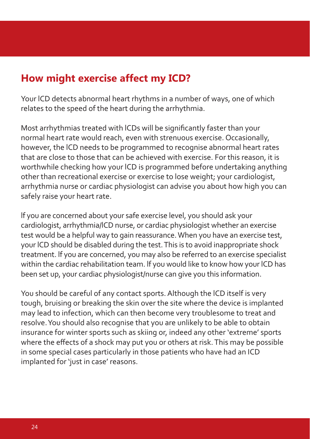# **How might exercise affect my ICD?**

Your lCD detects abnormal heart rhythms in a number of ways, one of which relates to the speed of the heart during the arrhythmia.

Most arrhythmias treated with ICDs will be significantly faster than your normal heart rate would reach, even with strenuous exercise. Occasionally, however, the lCD needs to be programmed to recognise abnormal heart rates that are close to those that can be achieved with exercise. For this reason, it is worthwhile checking how your lCD is programmed before undertaking anything other than recreational exercise or exercise to lose weight; your cardiologist, arrhythmia nurse or cardiac physiologist can advise you about how high you can safely raise your heart rate.

lf you are concerned about your safe exercise level, you should ask your cardiologist, arrhythmia/lCD nurse, or cardiac physiologist whether an exercise test would be a helpful way to gain reassurance. When you have an exercise test, your lCD should be disabled during the test. This is to avoid inappropriate shock treatment. lf you are concerned, you may also be referred to an exercise specialist within the cardiac rehabilitation team. lf you would like to know how your lCD has been set up, your cardiac physiologist/nurse can give you this information.

You should be careful of any contact sports. Although the lCD itself is very tough, bruising or breaking the skin over the site where the device is implanted may lead to infection, which can then become very troublesome to treat and resolve. You should also recognise that you are unlikely to be able to obtain insurance for winter sports such as skiing or, indeed any other 'extreme' sports where the effects of a shock may put you or others at risk. This may be possible in some special cases particularly in those patients who have had an ICD implanted for 'just in case' reasons.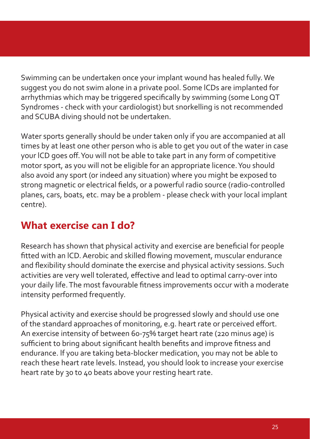Swimming can be undertaken once your implant wound has healed fully. We suggest you do not swim alone in a private pool. Some lCDs are implanted for arrhythmias which may be triggered specifically by swimming (some Long QT) Syndromes - check with your cardiologist) but snorkelling is not recommended and SCUBA diving should not be undertaken.

Water sports generally should be under taken only if you are accompanied at all times by at least one other person who is able to get you out of the water in case your lCD goes off . You will not be able to take part in any form of competitive motor sport, as you will not be eligible for an appropriate licence. You should also avoid any sport (or indeed any situation) where you might be exposed to strong magnetic or electrical fields, or a powerful radio source (radio-controlled planes, cars, boats, etc. may be a problem - please check with your local implant centre).

# **What exercise can I do?**

Research has shown that physical activity and exercise are beneficial for people fitted with an ICD. Aerobic and skilled flowing movement, muscular endurance and flexibility should dominate the exercise and physical activity sessions. Such activities are very well tolerated, effective and lead to optimal carry-over into your daily life. The most favourable fitness improvements occur with a moderate intensity performed frequently.

Physical activity and exercise should be progressed slowly and should use one of the standard approaches of monitoring, e.g. heart rate or perceived effort. An exercise intensity of between 60-75% target heart rate (220 minus age) is sufficient to bring about significant health benefits and improve fitness and endurance. lf you are taking beta-blocker medication, you may not be able to reach these heart rate levels. Instead, you should look to increase your exercise heart rate by 30 to 40 beats above your resting heart rate.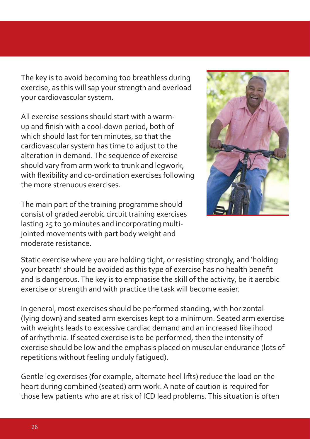The key is to avoid becoming too breathless during exercise, as this will sap your strength and overload your cardiovascular system.

All exercise sessions should start with a warmup and finish with a cool-down period, both of which should last for ten minutes, so that the cardiovascular system has time to adjust to the alteration in demand. The sequence of exercise should vary from arm work to trunk and legwork, with flexibility and co-ordination exercises following the more strenuous exercises.

The main part of the training programme should consist of graded aerobic circuit training exercises lasting 25 to 30 minutes and incorporating multijointed movements with part body weight and moderate resistance.



Static exercise where you are holding tight, or resisting strongly, and 'holding your breath' should be avoided as this type of exercise has no health benefit and is dangerous. The key is to emphasise the skill of the activity, be it aerobic exercise or strength and with practice the task will become easier.

In general, most exercises should be performed standing, with horizontal (lying down) and seated arm exercises kept to a minimum. Seated arm exercise with weights leads to excessive cardiac demand and an increased likelihood of arrhythmia. If seated exercise is to be performed, then the intensity of exercise should be low and the emphasis placed on muscular endurance (lots of repetitions without feeling unduly fatigued).

Gentle leg exercises (for example, alternate heel lifts) reduce the load on the heart during combined (seated) arm work. A note of caution is required for those few patients who are at risk of ICD lead problems. This situation is often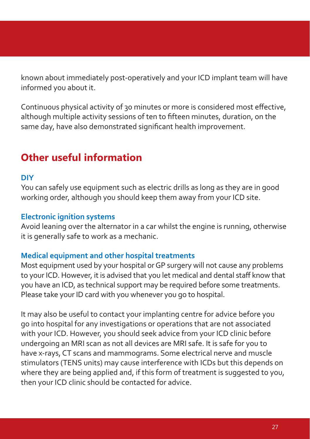known about immediately post-operatively and your ICD implant team will have informed you about it.

Continuous physical activity of 30 minutes or more is considered most effective, although multiple activity sessions of ten to fifteen minutes, duration, on the same day, have also demonstrated significant health improvement.

## **Other useful information**

#### **DIY**

You can safely use equipment such as electric drills as long as they are in good working order, although you should keep them away from your ICD site.

#### **Electronic ignition systems**

Avoid leaning over the alternator in a car whilst the engine is running, otherwise it is generally safe to work as a mechanic.

#### **Medical equipment and other hospital treatments**

Most equipment used by your hospital or GP surgery will not cause any problems to your ICD. However, it is advised that you let medical and dental staff know that you have an ICD, as technical support may be required before some treatments. Please take your ID card with you whenever you go to hospital.

It may also be useful to contact your implanting centre for advice before you go into hospital for any investigations or operations that are not associated with your ICD. However, you should seek advice from your ICD clinic before undergoing an MRI scan as not all devices are MRI safe. It is safe for you to have x-rays, CT scans and mammograms. Some electrical nerve and muscle stimulators (TENS units) may cause interference with ICDs but this depends on where they are being applied and, if this form of treatment is suggested to you, then your ICD clinic should be contacted for advice.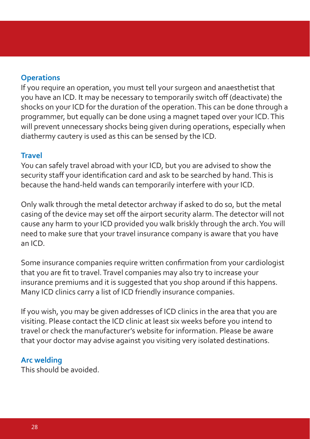#### **Operations**

If you require an operation, you must tell your surgeon and anaesthetist that you have an ICD. It may be necessary to temporarily switch off (deactivate) the shocks on your ICD for the duration of the operation. This can be done through a programmer, but equally can be done using a magnet taped over your ICD. This will prevent unnecessary shocks being given during operations, especially when diathermy cautery is used as this can be sensed by the ICD.

#### **Travel**

You can safely travel abroad with your ICD, but you are advised to show the security staff your identification card and ask to be searched by hand. This is because the hand-held wands can temporarily interfere with your ICD.

Only walk through the metal detector archway if asked to do so, but the metal casing of the device may set off the airport security alarm. The detector will not cause any harm to your ICD provided you walk briskly through the arch. You will need to make sure that your travel insurance company is aware that you have an ICD.

Some insurance companies require written confirmation from your cardiologist that you are fit to travel. Travel companies may also try to increase your insurance premiums and it is suggested that you shop around if this happens. Many ICD clinics carry a list of ICD friendly insurance companies.

If you wish, you may be given addresses of ICD clinics in the area that you are visiting. Please contact the ICD clinic at least six weeks before you intend to travel or check the manufacturer's website for information. Please be aware that your doctor may advise against you visiting very isolated destinations.

#### **Arc welding**

This should be avoided.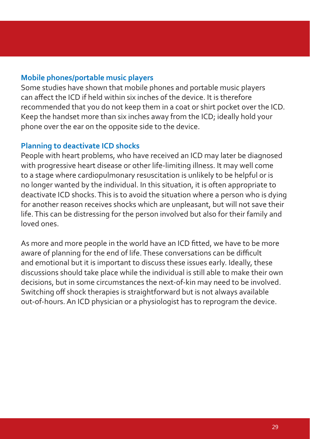#### **Mobile phones/portable music players**

Some studies have shown that mobile phones and portable music players can affect the ICD if held within six inches of the device. It is therefore recommended that you do not keep them in a coat or shirt pocket over the ICD. Keep the handset more than six inches away from the ICD; ideally hold your phone over the ear on the opposite side to the device.

#### **Planning to deactivate ICD shocks**

People with heart problems, who have received an ICD may later be diagnosed with progressive heart disease or other life-limiting illness. It may well come to a stage where cardiopulmonary resuscitation is unlikely to be helpful or is no longer wanted by the individual. In this situation, it is often appropriate to deactivate ICD shocks. This is to avoid the situation where a person who is dying for another reason receives shocks which are unpleasant, but will not save their life. This can be distressing for the person involved but also for their family and loved ones.

As more and more people in the world have an ICD fitted, we have to be more aware of planning for the end of life. These conversations can be difficult and emotional but it is important to discuss these issues early. Ideally, these discussions should take place while the individual is still able to make their own decisions, but in some circumstances the next-of-kin may need to be involved. Switching off shock therapies is straightforward but is not always available out-of-hours. An ICD physician or a physiologist has to reprogram the device.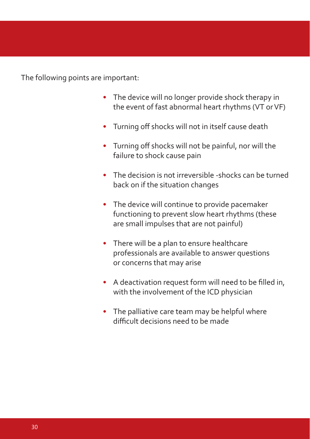The following points are important:

- The device will no longer provide shock therapy in the event of fast abnormal heart rhythms (VT or VF)
- Turning off shocks will not in itself cause death
- Turning off shocks will not be painful, nor will the failure to shock cause pain
- The decision is not irreversible -shocks can be turned back on if the situation changes
- The device will continue to provide pacemaker functioning to prevent slow heart rhythms (these are small impulses that are not painful)
- There will be a plan to ensure healthcare professionals are available to answer questions or concerns that may arise
- A deactivation request form will need to be filled in, with the involvement of the ICD physician
- The palliative care team may be helpful where difficult decisions need to be made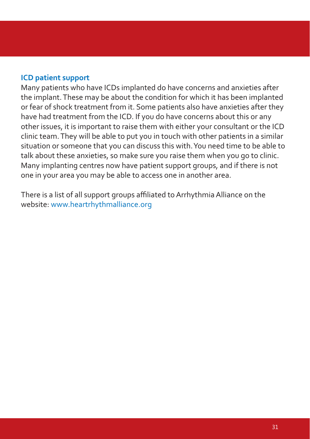#### **ICD patient support**

Many patients who have ICDs implanted do have concerns and anxieties after the implant. These may be about the condition for which it has been implanted or fear of shock treatment from it. Some patients also have anxieties after they have had treatment from the ICD. If you do have concerns about this or any other issues, it is important to raise them with either your consultant or the ICD clinic team. They will be able to put you in touch with other patients in a similar situation or someone that you can discuss this with. You need time to be able to talk about these anxieties, so make sure you raise them when you go to clinic. Many implanting centres now have patient support groups, and if there is not one in your area you may be able to access one in another area.

There is a list of all support groups affiliated to Arrhythmia Alliance on the website: www.heartrhythmalliance.org